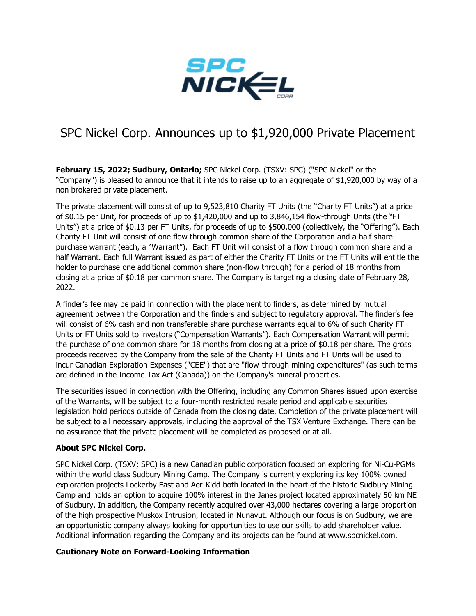

## SPC Nickel Corp. Announces up to \$1,920,000 Private Placement

**February 15, 2022; Sudbury, Ontario;** SPC Nickel Corp. (TSXV: SPC) ("SPC Nickel" or the "Company") is pleased to announce that it intends to raise up to an aggregate of \$1,920,000 by way of a non brokered private placement.

The private placement will consist of up to 9,523,810 Charity FT Units (the "Charity FT Units") at a price of \$0.15 per Unit, for proceeds of up to \$1,420,000 and up to 3,846,154 flow-through Units (the "FT Units") at a price of \$0.13 per FT Units, for proceeds of up to \$500,000 (collectively, the "Offering"). Each Charity FT Unit will consist of one flow through common share of the Corporation and a half share purchase warrant (each, a "Warrant"). Each FT Unit will consist of a flow through common share and a half Warrant. Each full Warrant issued as part of either the Charity FT Units or the FT Units will entitle the holder to purchase one additional common share (non-flow through) for a period of 18 months from closing at a price of \$0.18 per common share. The Company is targeting a closing date of February 28, 2022.

A finder's fee may be paid in connection with the placement to finders, as determined by mutual agreement between the Corporation and the finders and subject to regulatory approval. The finder's fee will consist of 6% cash and non transferable share purchase warrants equal to 6% of such Charity FT Units or FT Units sold to investors ("Compensation Warrants"). Each Compensation Warrant will permit the purchase of one common share for 18 months from closing at a price of \$0.18 per share. The gross proceeds received by the Company from the sale of the Charity FT Units and FT Units will be used to incur Canadian Exploration Expenses ("CEE") that are "flow-through mining expenditures" (as such terms are defined in the Income Tax Act (Canada)) on the Company's mineral properties.

The securities issued in connection with the Offering, including any Common Shares issued upon exercise of the Warrants, will be subject to a four-month restricted resale period and applicable securities legislation hold periods outside of Canada from the closing date. Completion of the private placement will be subject to all necessary approvals, including the approval of the TSX Venture Exchange. There can be no assurance that the private placement will be completed as proposed or at all.

## **About SPC Nickel Corp.**

SPC Nickel Corp. (TSXV; SPC) is a new Canadian public corporation focused on exploring for Ni-Cu-PGMs within the world class Sudbury Mining Camp. The Company is currently exploring its key 100% owned exploration projects Lockerby East and Aer-Kidd both located in the heart of the historic Sudbury Mining Camp and holds an option to acquire 100% interest in the Janes project located approximately 50 km NE of Sudbury. In addition, the Company recently acquired over 43,000 hectares covering a large proportion of the high prospective Muskox Intrusion, located in Nunavut. Although our focus is on Sudbury, we are an opportunistic company always looking for opportunities to use our skills to add shareholder value. Additional information regarding the Company and its projects can be found at www.spcnickel.com.

## **Cautionary Note on Forward-Looking Information**